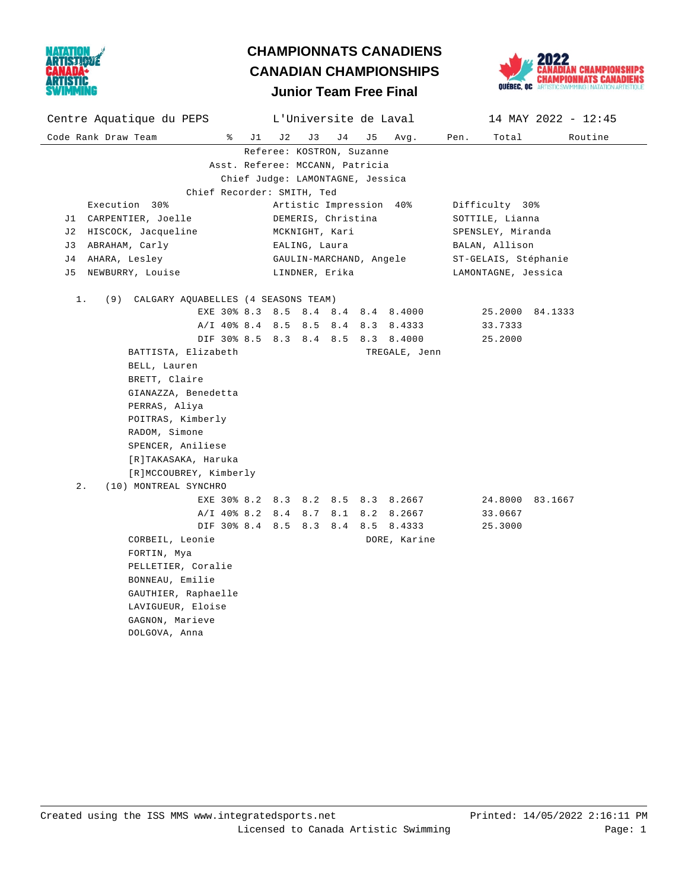



## Code Rank Draw Team % J1 J2 J3 J4 J5 Avg. Pen. Total Routine Centre Aquatique du PEPS L'Universite de Laval 14 MAY 2022 - 12:45 Referee: KOSTRON, Suzanne Asst. Referee: MCCANN, Patricia Chief Judge: LAMONTAGNE, Jessica Chief Recorder: SMITH, Ted Execution 30% Artistic Impression 40% Difficulty 30% J1 CARPENTIER, Joelle  $DEMERIS$ , Christina  $SOTTLE$ , Lianna J2 HISCOCK, Jacqueline MCKNIGHT, Kari SPENSLEY, Miranda J3 ABRAHAM, Carly EALING, Laura BALAN, Allison J4 AHARA, Lesley GAULIN-MARCHAND, Angele ST-GELAIS, Stéphanie J5 NEWBURRY, Louise LINDNER, Erika LAMONTAGNE, Jessica 1. (9) CALGARY AQUABELLES (4 SEASONS TEAM) EXE 30% 8.3 8.5 8.4 8.4 8.4 8.4000 25.2000 84.1333 A/I 40% 8.4 8.5 8.5 8.4 8.3 8.4333 33.7333 DIF 30% 8.5 8.3 8.4 8.5 8.3 8.4000 25.2000 BATTISTA, Elizabeth TREGALE, Jenn BELL, Lauren BRETT, Claire GIANAZZA, Benedetta PERRAS, Aliya POITRAS, Kimberly RADOM, Simone SPENCER, Aniliese [R]TAKASAKA, Haruka [R]MCCOUBREY, Kimberly 2. (10) MONTREAL SYNCHRO EXE 30% 8.2 8.3 8.2 8.5 8.3 8.2667 24.8000 83.1667 A/I 40% 8.2 8.4 8.7 8.1 8.2 8.2667 33.0667 DIF 30% 8.4 8.5 8.3 8.4 8.5 8.4333 25.3000 CORBEIL, Leonie **DORE**, Karine FORTIN, Mya PELLETIER, Coralie BONNEAU, Emilie GAUTHIER, Raphaelle LAVIGUEUR, Eloise GAGNON, Marieve DOLGOVA, Anna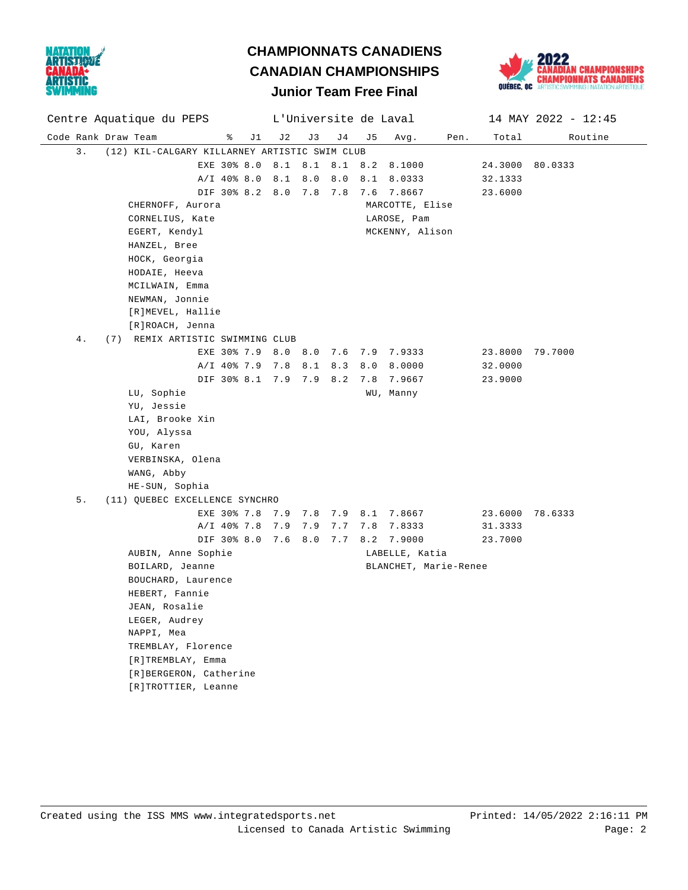



### Code Rank Draw Team % J1 J2 J3 J4 J5 Avg. Pen. Total Routine Centre Aquatique du PEPS L'Universite de Laval 14 MAY 2022 - 12:45 3. (12) KIL-CALGARY KILLARNEY ARTISTIC SWIM CLUB EXE 30% 8.0 8.1 8.1 8.1 8.2 8.1000 24.3000 80.0333  $A/I$  40% 8.0 8.1 8.0 8.0 8.1 8.0333 32.1333 DIF 30% 8.2 8.0 7.8 7.8 7.6 7.8667 23.6000 CHERNOFF, Aurora MARCOTTE, Elise CORNELIUS, Kate LAROSE, Pam EGERT, Kendyl and MCKENNY, Alison HANZEL, Bree HOCK, Georgia HODAIE, Heeva MCILWAIN, Emma NEWMAN, Jonnie [R]MEVEL, Hallie [R]ROACH, Jenna 4. (7) REMIX ARTISTIC SWIMMING CLUB EXE 30% 7.9 8.0 8.0 7.6 7.9 7.9333 23.8000 79.7000 A/I 40% 7.9 7.8 8.1 8.3 8.0 8.0000 32.0000 DIF 30% 8.1 7.9 7.9 8.2 7.8 7.9667 23.9000 LU, Sophie WU, Manny YU, Jessie LAI, Brooke Xin YOU, Alyssa GU, Karen VERBINSKA, Olena WANG, Abby HE-SUN, Sophia 5. (11) QUEBEC EXCELLENCE SYNCHRO EXE 30% 7.8 7.9 7.8 7.9 8.1 7.8667 23.6000 78.6333 A/I 40% 7.8 7.9 7.9 7.7 7.8 7.8333 31.3333 DIF 30% 8.0 7.6 8.0 7.7 8.2 7.9000 23.7000 AUBIN, Anne Sophie Communication Communications and LABELLE, Katia BOILARD, Jeanne BLANCHET, Marie-Renee BOUCHARD, Laurence HEBERT, Fannie JEAN, Rosalie LEGER, Audrey NAPPI, Mea TREMBLAY, Florence [R]TREMBLAY, Emma [R]BERGERON, Catherine [R]TROTTIER, Leanne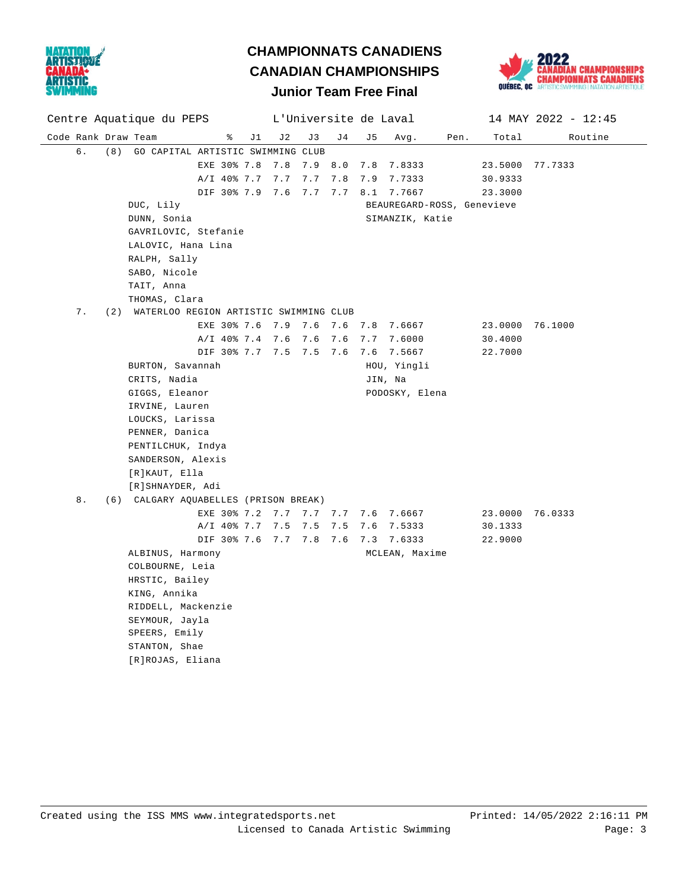

# **CHAMPIONNATS CANADIENS CANADIAN CHAMPIONSHIPS**



## **Junior Team Free Final**

|                     | Centre Aquatique du PEPS |     |                                            | L'Universite de Laval   |    |     |     |     |     | 14 MAY 2022 - 12:45        |      |                 |         |
|---------------------|--------------------------|-----|--------------------------------------------|-------------------------|----|-----|-----|-----|-----|----------------------------|------|-----------------|---------|
| Code Rank Draw Team |                          |     |                                            | ိ                       | J1 | J2  | J3  | J 4 | J 5 | Avg.                       | Pen. | Total           | Routine |
|                     | б.                       | (8) | GO CAPITAL ARTISTIC SWIMMING CLUB          |                         |    |     |     |     |     |                            |      |                 |         |
|                     |                          |     |                                            | EXE 30% 7.8             |    | 7.8 | 7.9 | 8.0 |     | 7.8 7.8333                 |      | 23.5000 77.7333 |         |
|                     |                          |     |                                            | A/I 40% 7.7 7.7         |    |     | 7.7 | 7.8 |     | 7.9 7.7333                 |      | 30.9333         |         |
|                     |                          |     |                                            | DIF 30% 7.9 7.6 7.7     |    |     |     | 7.7 |     | 8.1 7.7667                 |      | 23.3000         |         |
|                     |                          |     | DUC, Lily                                  |                         |    |     |     |     |     | BEAUREGARD-ROSS, Genevieve |      |                 |         |
|                     |                          |     | DUNN, Sonia                                |                         |    |     |     |     |     | SIMANZIK, Katie            |      |                 |         |
|                     |                          |     | GAVRILOVIC, Stefanie                       |                         |    |     |     |     |     |                            |      |                 |         |
|                     |                          |     | LALOVIC, Hana Lina                         |                         |    |     |     |     |     |                            |      |                 |         |
|                     |                          |     | RALPH, Sally                               |                         |    |     |     |     |     |                            |      |                 |         |
|                     | SABO, Nicole             |     |                                            |                         |    |     |     |     |     |                            |      |                 |         |
|                     |                          |     | TAIT, Anna                                 |                         |    |     |     |     |     |                            |      |                 |         |
|                     |                          |     | THOMAS, Clara                              |                         |    |     |     |     |     |                            |      |                 |         |
|                     | 7.                       |     | (2) WATERLOO REGION ARTISTIC SWIMMING CLUB |                         |    |     |     |     |     |                            |      |                 |         |
|                     |                          |     |                                            | EXE 30% 7.6 7.9 7.6 7.6 |    |     |     |     |     | 7.8 7.6667                 |      | 23.0000 76.1000 |         |
|                     |                          |     |                                            | A/I 40% 7.4 7.6 7.6     |    |     |     | 7.6 |     | 7.7 7.6000                 |      | 30.4000         |         |
|                     |                          |     |                                            | DIF 30% 7.7 7.5 7.5 7.6 |    |     |     |     |     | 7.6 7.5667                 |      | 22.7000         |         |
|                     |                          |     | BURTON, Savannah                           |                         |    |     |     |     |     | HOU, Yingli                |      |                 |         |
|                     |                          |     | CRITS, Nadia                               |                         |    |     |     |     |     | JIN, Na                    |      |                 |         |
|                     |                          |     | GIGGS, Eleanor                             |                         |    |     |     |     |     | PODOSKY, Elena             |      |                 |         |
|                     |                          |     | IRVINE, Lauren                             |                         |    |     |     |     |     |                            |      |                 |         |
|                     |                          |     | LOUCKS, Larissa                            |                         |    |     |     |     |     |                            |      |                 |         |
|                     |                          |     | PENNER, Danica                             |                         |    |     |     |     |     |                            |      |                 |         |
|                     |                          |     | PENTILCHUK, Indya                          |                         |    |     |     |     |     |                            |      |                 |         |
|                     |                          |     | SANDERSON, Alexis                          |                         |    |     |     |     |     |                            |      |                 |         |
|                     |                          |     | [R]KAUT, Ella                              |                         |    |     |     |     |     |                            |      |                 |         |
|                     |                          |     | [R]SHNAYDER, Adi                           |                         |    |     |     |     |     |                            |      |                 |         |
|                     | 8.                       |     | (6) CALGARY AQUABELLES (PRISON BREAK)      |                         |    |     |     |     |     |                            |      |                 |         |
|                     |                          |     |                                            | EXE 30% 7.2 7.7 7.7 7.7 |    |     |     |     |     | 7.6 7.6667                 |      | 23.0000 76.0333 |         |
|                     |                          |     |                                            | A/I 40% 7.7 7.5         |    |     | 7.5 | 7.5 |     | 7.6 7.5333                 |      | 30.1333         |         |
|                     |                          |     |                                            | DIF 30% 7.6 7.7 7.8 7.6 |    |     |     |     |     | 7.3 7.6333                 |      | 22.9000         |         |
|                     |                          |     | ALBINUS, Harmony                           |                         |    |     |     |     |     | MCLEAN, Maxime             |      |                 |         |
|                     |                          |     | COLBOURNE, Leia                            |                         |    |     |     |     |     |                            |      |                 |         |
|                     |                          |     | HRSTIC, Bailey<br>KING, Annika             |                         |    |     |     |     |     |                            |      |                 |         |
|                     |                          |     | RIDDELL, Mackenzie                         |                         |    |     |     |     |     |                            |      |                 |         |
|                     |                          |     | SEYMOUR, Jayla                             |                         |    |     |     |     |     |                            |      |                 |         |
|                     |                          |     | SPEERS, Emily                              |                         |    |     |     |     |     |                            |      |                 |         |
|                     |                          |     | STANTON, Shae                              |                         |    |     |     |     |     |                            |      |                 |         |
|                     |                          |     | [R]ROJAS, Eliana                           |                         |    |     |     |     |     |                            |      |                 |         |
|                     |                          |     |                                            |                         |    |     |     |     |     |                            |      |                 |         |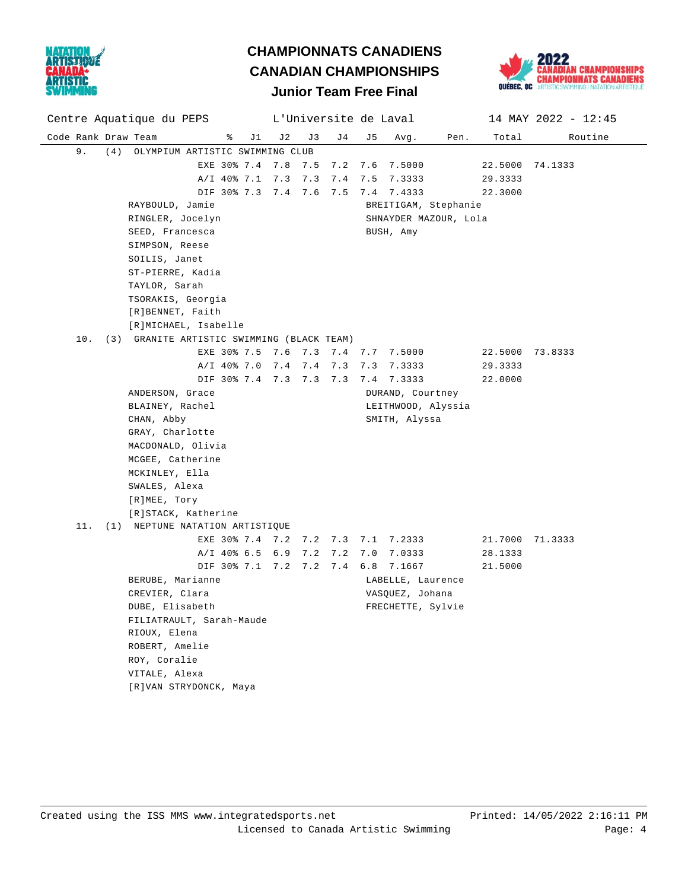



### Code Rank Draw Team % J1 J2 J3 J4 J5 Avg. Pen. Total Routine Centre Aquatique du PEPS L'Universite de Laval 14 MAY 2022 - 12:45 9. (4) OLYMPIUM ARTISTIC SWIMMING CLUB EXE 30% 7.4 7.8 7.5 7.2 7.6 7.5000 22.5000 74.1333 A/I 40% 7.1 7.3 7.3 7.4 7.5 7.3333 29.3333 DIF 30% 7.3 7.4 7.6 7.5 7.4 7.4333 22.3000 RAYBOULD, Jamie **BREITIGAM**, Stephanie RINGLER, Jocelyn SHNAYDER MAZOUR, Lola SEED, Francesca and BUSH, Amy SIMPSON, Reese SOILIS, Janet ST-PIERRE, Kadia TAYLOR, Sarah TSORAKIS, Georgia [R]BENNET, Faith [R]MICHAEL, Isabelle 10. (3) GRANITE ARTISTIC SWIMMING (BLACK TEAM) EXE 30% 7.5 7.6 7.3 7.4 7.7 7.5000 22.5000 73.8333 A/I 40% 7.0 7.4 7.4 7.3 7.3 7.3333 29.3333 DIF 30% 7.4 7.3 7.3 7.3 7.4 7.3333 22.0000 ANDERSON, Grace **DURAND, Courtney** BLAINEY, Rachel **LEITHWOOD**, Alyssia CHAN, Abby SMITH, Alyssa GRAY, Charlotte MACDONALD, Olivia MCGEE, Catherine MCKINLEY, Ella SWALES, Alexa [R]MEE, Tory [R]STACK, Katherine 11. (1) NEPTUNE NATATION ARTISTIQUE EXE 30% 7.4 7.2 7.2 7.3 7.1 7.2333 21.7000 71.3333 A/I 40% 6.5 6.9 7.2 7.2 7.0 7.0333 28.1333 DIF 30% 7.1 7.2 7.2 7.4 6.8 7.1667 21.5000 BERUBE, Marianne Contract Communications (CABELLE, Laurence CREVIER, Clara **VASQUEZ**, Johana DUBE, Elisabeth FRECHETTE, Sylvie FILIATRAULT, Sarah-Maude RIOUX, Elena ROBERT, Amelie ROY, Coralie VITALE, Alexa [R]VAN STRYDONCK, Maya